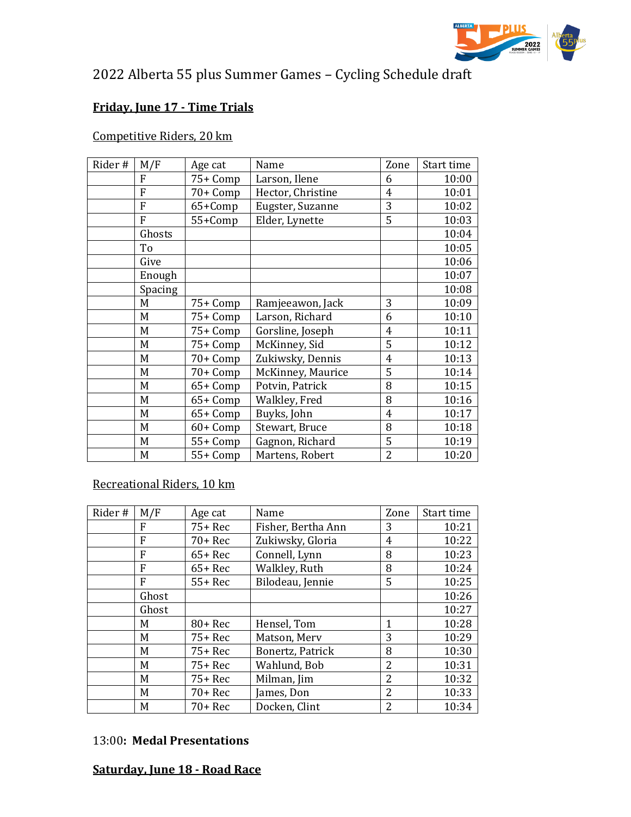

# 2022 Alberta 55 plus Summer Games – Cycling Schedule draft

## **Friday, June 17 - Time Trials**

#### Competitive Riders, 20 km

| Rider# | M/F     | Age cat  | Name              | Zone           | Start time |
|--------|---------|----------|-------------------|----------------|------------|
|        | F       | 75+ Comp | Larson, Ilene     | 6              | 10:00      |
|        | F       | 70+ Comp | Hector, Christine | 4              | 10:01      |
|        | F       | 65+Comp  | Eugster, Suzanne  | 3              | 10:02      |
|        | F       | 55+Comp  | Elder, Lynette    | 5              | 10:03      |
|        | Ghosts  |          |                   |                | 10:04      |
|        | To      |          |                   |                | 10:05      |
|        | Give    |          |                   |                | 10:06      |
|        | Enough  |          |                   |                | 10:07      |
|        | Spacing |          |                   |                | 10:08      |
|        | M       | 75+ Comp | Ramjeeawon, Jack  | 3              | 10:09      |
|        | M       | 75+ Comp | Larson, Richard   | 6              | 10:10      |
|        | M       | 75+ Comp | Gorsline, Joseph  | 4              | 10:11      |
|        | M       | 75+ Comp | McKinney, Sid     | 5              | 10:12      |
|        | M       | 70+ Comp | Zukiwsky, Dennis  | $\overline{4}$ | 10:13      |
|        | M       | 70+ Comp | McKinney, Maurice | 5              | 10:14      |
|        | M       | 65+ Comp | Potvin, Patrick   | 8              | 10:15      |
|        | M       | 65+ Comp | Walkley, Fred     | 8              | 10:16      |
|        | M       | 65+ Comp | Buyks, John       | 4              | 10:17      |
|        | M       | 60+ Comp | Stewart, Bruce    | 8              | 10:18      |
|        | M       | 55+ Comp | Gagnon, Richard   | 5              | 10:19      |
|        | M       | 55+ Comp | Martens, Robert   | 2              | 10:20      |

### Recreational Riders, 10 km

| Rider# | M/F   | Age cat   | Name               | Zone                     | Start time |
|--------|-------|-----------|--------------------|--------------------------|------------|
|        | F     | $75+$ Rec | Fisher, Bertha Ann | 3                        | 10:21      |
|        | F     | $70+$ Rec | Zukiwsky, Gloria   | 4                        | 10:22      |
|        | F     | $65+$ Rec | Connell, Lynn      | 8                        | 10:23      |
|        | F     | $65+$ Rec | Walkley, Ruth      | 8                        | 10:24      |
|        | F     | $55+$ Rec | Bilodeau, Jennie   | 5                        | 10:25      |
|        | Ghost |           |                    |                          | 10:26      |
|        | Ghost |           |                    |                          | 10:27      |
|        | M     | 80+ Rec   | Hensel, Tom        | 1                        | 10:28      |
|        | M     | $75+$ Rec | Matson, Merv       | 3                        | 10:29      |
|        | M     | $75+$ Rec | Bonertz, Patrick   | 8                        | 10:30      |
|        | M     | $75+$ Rec | Wahlund, Bob       | 2                        | 10:31      |
|        | M     | $75+$ Rec | Milman, Jim        | 2                        | 10:32      |
|        | M     | $70+$ Rec | ames, Don          | 2                        | 10:33      |
|        | M     | $70+$ Rec | Docken, Clint      | $\overline{\mathcal{L}}$ | 10:34      |

#### 13:00**: Medal Presentations**

#### **Saturday, June 18 - Road Race**